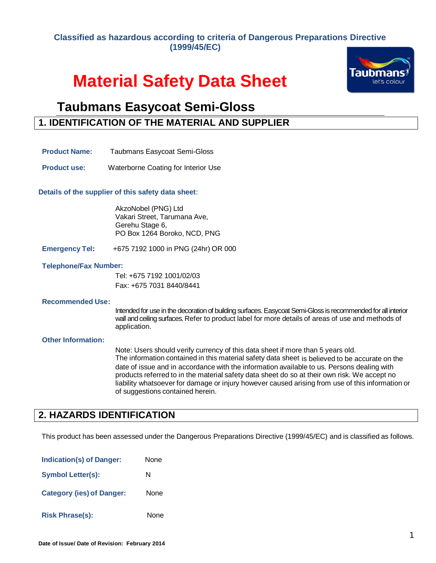### **Classified as hazardous according to criteria of Dangerous Preparations Directive (1999/45/EC)**

# **Material Safety Data Sheet**



## **Taubmans Easycoat Semi-Gloss**

### **1. IDENTIFICATION OF THE MATERIAL AND SUPPLIER**

- **Product Name:** Taubmans Easycoat Semi-Gloss
- **Product use:** Waterborne Coating for Interior Use

**Details of the supplier of this safety data sheet**:

AkzoNobel (PNG) Ltd Vakari Street, Tarumana Ave, Gerehu Stage 6, PO Box 1264 Boroko, NCD, PNG

**Emergency Tel:** +675 7192 1000 in PNG (24hr) OR 000

#### **Telephone/Fax Number:**

Tel: +675 7192 1001/02/03 Fax: +675 7031 8440/8441

#### **Recommended Use :**

Intended for use in the decoration of building surfaces. Easycoat Semi-Gloss is recommended for all interior wall and ceiling surfaces. Refer to product label for more details of areas of use and methods of application.

#### **Other Information:**

Note: Users should verify currency of this data sheet if more than 5 years old. The information contained in this material safety data sheet is believed to be accurate on the date of issue and in accordance with the information available to us. Persons dealing with products referred to in the material safety data sheet do so at their own risk. We accept no liability whatsoever for damage or injury however caused arising from use of this information or of suggestions contained herein.

### **2. HAZARDS IDENTIFICATION**

This product has been assessed under the Dangerous Preparations Directive (1999/45/EC) and is classified as follows.

| <b>Indication(s) of Danger:</b>  | None |
|----------------------------------|------|
| <b>Symbol Letter(s):</b>         | N    |
| <b>Category (ies) of Danger:</b> | None |
| <b>Risk Phrase(s):</b>           | None |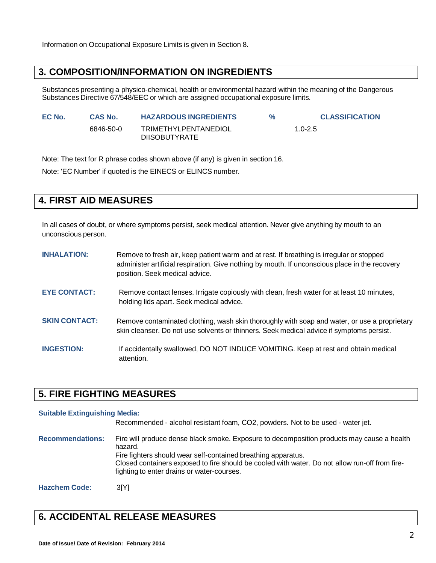Information on Occupational Exposure Limits is given in Section 8.

### **3. COMPOSITION/INFORMATION ON INGREDIENTS**

Substances presenting a physico-chemical, health or environmental hazard within the meaning of the Dangerous Substances Directive 67/548/EEC or which are assigned occupational exposure limits.

| EC No. | <b>CAS No.</b> | <b>HAZARDOUS INGREDIENTS</b>                        | $\frac{9}{6}$ | <b>CLASSIFICATION</b> |
|--------|----------------|-----------------------------------------------------|---------------|-----------------------|
|        | 6846-50-0      | <b>TRIMETHYLPENTANEDIOL</b><br><b>DIISOBUTYRATE</b> |               | $1.0 - 2.5$           |

Note: The text for R phrase codes shown above (if any) is given in section 16.

Note: 'EC Number' if quoted is the EINECS or ELINCS number.

### **4. FIRST AID MEASURES**

In all cases of doubt, or where symptoms persist, seek medical attention. Never give anything by mouth to an unconscious person.

| <b>INHALATION:</b>   | Remove to fresh air, keep patient warm and at rest. If breathing is irregular or stopped<br>administer artificial respiration. Give nothing by mouth. If unconscious place in the recovery<br>position. Seek medical advice. |
|----------------------|------------------------------------------------------------------------------------------------------------------------------------------------------------------------------------------------------------------------------|
| <b>EYE CONTACT:</b>  | Remove contact lenses. Irrigate copiously with clean, fresh water for at least 10 minutes,<br>holding lids apart. Seek medical advice.                                                                                       |
| <b>SKIN CONTACT:</b> | Remove contaminated clothing, wash skin thoroughly with soap and water, or use a proprietary<br>skin cleanser. Do not use solvents or thinners. Seek medical advice if symptoms persist.                                     |
| <b>INGESTION:</b>    | If accidentally swallowed, DO NOT INDUCE VOMITING. Keep at rest and obtain medical<br>attention.                                                                                                                             |

### **5. FIRE FIGHTING MEASURES**

#### **Suitable Extinguishing Media:**

Recommended - alcohol resistant foam, CO2, powders. Not to be used - water jet.

**Recommendations:** Fire will produce dense black smoke. Exposure to decomposition products may cause a health hazard. Fire fighters should wear self-contained breathing apparatus. Closed containers exposed to fire should be cooled with water. Do not allow run-off from firefighting to enter drains or water-courses.

**Hazchem Code:** 3[Y]

### **6. ACCIDENTAL RELEASE MEASURES**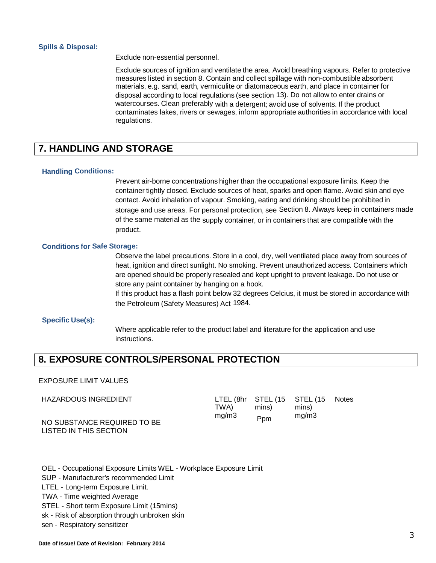#### **Spills & Disposal:**

Exclude non-essential personnel.

Exclude sources of ignition and ventilate the area. Avoid breathing vapours. Refer to protective measures listed in section 8. Contain and collect spillage with non-combustible absorbent materials, e.g. sand, earth, vermiculite or diatomaceous earth, and place in container for disposal according to local regulations (see section 13). Do not allow to enter drains or watercourses. Clean preferably with a detergent; avoid use of solvents. If the product contaminates lakes, rivers or sewages, inform appropriate authorities in accordance with local regulations.

### **7. HANDLING AND STORAGE**

#### **Handling Conditions:**

Prevent air-borne concentrations higher than the occupational exposure limits. Keep the container tightly closed. Exclude sources of heat, sparks and open flame. Avoid skin and eye contact. Avoid inhalation of vapour. Smoking, eating and drinking should be prohibited in storage and use areas. For personal protection, see Section 8. Always keep in containers made of the same material as the supply container, or in containers that are compatible with the product.

#### **Conditions for Safe Storage:**

Observe the label precautions. Store in a cool, dry, well ventilated place away from sources of heat, ignition and direct sunlight. No smoking. Prevent unauthorized access. Containers which are opened should be properly resealed and kept upright to prevent leakage. Do not use or store any paint container by hanging on a hook.

If this product has a flash point below 32 degrees Celcius, it must be stored in accordance with the Petroleum (Safety Measures) Act 1984.

#### **Specific Use(s):**

Where applicable refer to the product label and literature for the application and use instructions.

### **8. EXPOSURE CONTROLS/PERSONAL PROTECTION**

#### EXPOSURE LIMIT VALUES

| HAZARDOUS INGREDIENT                                  | TWA). | LTEL (8hr STEL (15 STEL (15<br>mins) | mins) | <b>Notes</b> |
|-------------------------------------------------------|-------|--------------------------------------|-------|--------------|
| NO SUBSTANCE REQUIRED TO BE<br>LISTED IN THIS SECTION | mq/m3 | <b>P</b> pm                          | mq/m3 |              |

OEL - Occupational Exposure Limits WEL - Workplace Exposure Limit

SUP - Manufacturer's recommended Limit

LTEL - Long-term Exposure Limit.

TWA - Time weighted Average

STEL - Short term Exposure Limit (15mins)

sk - Risk of absorption through unbroken skin

sen - Respiratory sensitizer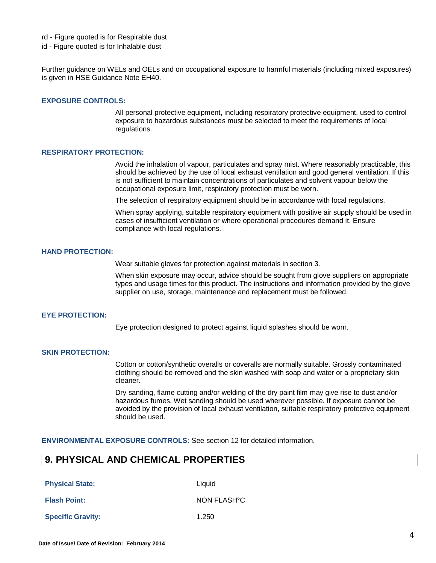- rd Figure quoted is for Respirable dust
- id Figure quoted is for Inhalable dust

Further guidance on WELs and OELs and on occupational exposure to harmful materials (including mixed exposures) is given in HSE Guidance Note EH40.

#### **EXPOSURE CONTROLS:**

All personal protective equipment, including respiratory protective equipment, used to control exposure to hazardous substances must be selected to meet the requirements of local regulations.

#### **RESPIRATORY PROTECTION:**

Avoid the inhalation of vapour, particulates and spray mist. Where reasonably practicable, this should be achieved by the use of local exhaust ventilation and good general ventilation. If this is not sufficient to maintain concentrations of particulates and solvent vapour below the occupational exposure limit, respiratory protection must be worn.

The selection of respiratory equipment should be in accordance with local regulations.

When spray applying, suitable respiratory equipment with positive air supply should be used in cases of insufficient ventilation or where operational procedures demand it. Ensure compliance with local regulations.

#### **HAND PROTECTION:**

Wear suitable gloves for protection against materials in section 3.

When skin exposure may occur, advice should be sought from glove suppliers on appropriate types and usage times for this product. The instructions and information provided by the glove supplier on use, storage, maintenance and replacement must be followed.

#### **EYE PROTECTION:**

Eye protection designed to protect against liquid splashes should be worn.

#### **SKIN PROTECTION:**

Cotton or cotton/synthetic overalls or coveralls are normally suitable. Grossly contaminated clothing should be removed and the skin washed with soap and water or a proprietary skin cleaner.

Dry sanding, flame cutting and/or welding of the dry paint film may give rise to dust and/or hazardous fumes. Wet sanding should be used wherever possible. If exposure cannot be avoided by the provision of local exhaust ventilation, suitable respiratory protective equipment should be used.

**ENVIRONMENTAL EXPOSURE CONTROLS:** See section 12 for detailed information.

### **9. PHYSICAL AND CHEMICAL PROPERTIES**

**Physical State:** Liquid

**Flash Point:** NON FLASH°C

**Specific Gravity:** 1.250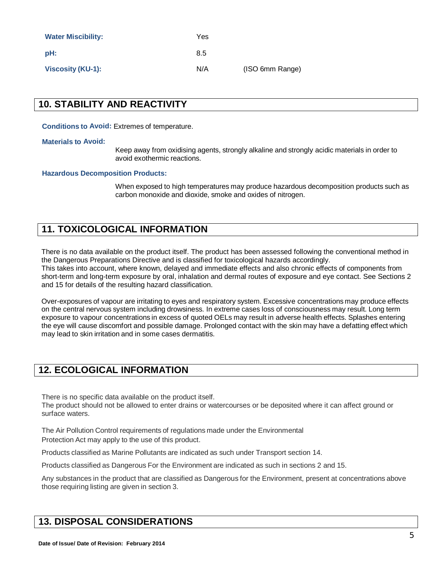| <b>Water Miscibility:</b> | Yes |                 |
|---------------------------|-----|-----------------|
| pH:                       | 8.5 |                 |
| <b>Viscosity (KU-1):</b>  | N/A | (ISO 6mm Range) |

### **10. STABILITY AND REACTIVITY**

**Conditions to Avoid:** Extremes of temperature.

#### **Materials to Avoid:**

Keep away from oxidising agents, strongly alkaline and strongly acidic materials in order to avoid exothermic reactions.

#### **Hazardous Decomposition Products:**

When exposed to high temperatures may produce hazardous decomposition products such as carbon monoxide and dioxide, smoke and oxides of nitrogen.

### **11. TOXICOLOGICAL INFORMATION**

There is no data available on the product itself. The product has been assessed following the conventional method in the Dangerous Preparations Directive and is classified for toxicological hazards accordingly. This takes into account, where known, delayed and immediate effects and also chronic effects of components from short-term and long-term exposure by oral, inhalation and dermal routes of exposure and eye contact. See Sections 2 and 15 for details of the resulting hazard classification.

Over-exposures of vapour are irritating to eyes and respiratory system. Excessive concentrations may produce effects on the central nervous system including drowsiness. In extreme cases loss of consciousness may result. Long term exposure to vapour concentrations in excess of quoted OELs may result in adverse health effects. Splashes entering the eye will cause discomfort and possible damage. Prolonged contact with the skin may have a defatting effect which may lead to skin irritation and in some cases dermatitis.

### **12. ECOLOGICAL INFORMATION**

There is no specific data available on the product itself.

The product should not be allowed to enter drains or watercourses or be deposited where it can affect ground or surface waters.

The Air Pollution Control requirements of regulations made under the Environmental Protection Act may apply to the use of this product.

Products classified as Marine Pollutants are indicated as such under Transport section 14.

Products classified as Dangerous For the Environment are indicated as such in sections 2 and 15.

Any substances in the product that are classified as Dangerous for the Environment, present at concentrations above those requiring listing are given in section 3.

### **13. DISPOSAL CONSIDERATIONS**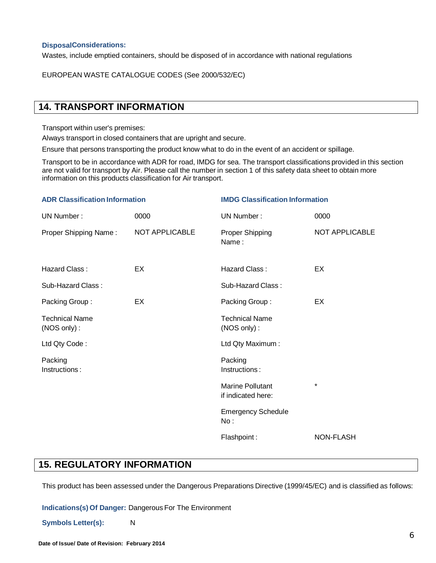### **DisposalConsiderations:**

Wastes, include emptied containers, should be disposed of in accordance with national regulations

EUROPEAN WASTE CATALOGUE CODES (See 2000/532/EC)

### **14. TRANSPORT INFORMATION**

Transport within user's premises:

Always transport in closed containers that are upright and secure.

Ensure that persons transporting the product know what to do in the event of an accident or spillage.

Transport to be in accordance with ADR for road, IMDG for sea. The transport classifications provided in this section are not valid for transport by Air. Please call the number in section 1 of this safety data sheet to obtain more information on this products classification for Air transport.

| <b>ADR Classification Information</b> |                | <b>IMDG Classification Information</b>        |                  |  |
|---------------------------------------|----------------|-----------------------------------------------|------------------|--|
| UN Number:                            | 0000           | UN Number:                                    | 0000             |  |
| Proper Shipping Name:                 | NOT APPLICABLE | Proper Shipping<br>Name:                      | NOT APPLICABLE   |  |
| Hazard Class:                         | EX             | Hazard Class:                                 | EX               |  |
| Sub-Hazard Class:                     |                | Sub-Hazard Class:                             |                  |  |
| Packing Group:                        | EX             | Packing Group:                                | EX               |  |
| <b>Technical Name</b><br>(NOS only):  |                | <b>Technical Name</b><br>(NOS only):          |                  |  |
| Ltd Qty Code:                         |                | Ltd Qty Maximum:                              |                  |  |
| Packing<br>Instructions:              |                | Packing<br>Instructions:                      |                  |  |
|                                       |                | <b>Marine Pollutant</b><br>if indicated here: | $\star$          |  |
|                                       |                | <b>Emergency Schedule</b><br>No:              |                  |  |
|                                       |                | Flashpoint:                                   | <b>NON-FLASH</b> |  |

### **15. REGULATORY INFORMATION**

This product has been assessed under the Dangerous Preparations Directive (1999/45/EC) and is classified as follows:

**Indications(s) Of Danger:** Dangerous For The Environment

**Symbols Letter(s):** N